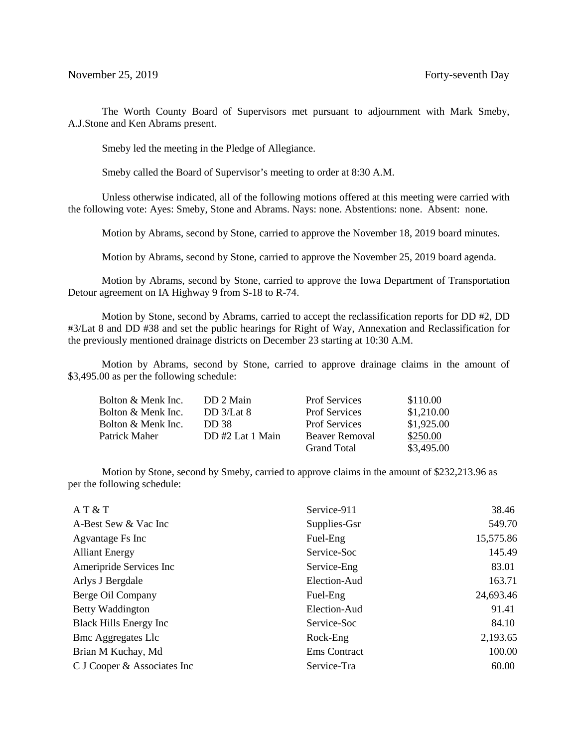The Worth County Board of Supervisors met pursuant to adjournment with Mark Smeby, A.J.Stone and Ken Abrams present.

Smeby led the meeting in the Pledge of Allegiance.

Smeby called the Board of Supervisor's meeting to order at 8:30 A.M.

Unless otherwise indicated, all of the following motions offered at this meeting were carried with the following vote: Ayes: Smeby, Stone and Abrams. Nays: none. Abstentions: none. Absent: none.

Motion by Abrams, second by Stone, carried to approve the November 18, 2019 board minutes.

Motion by Abrams, second by Stone, carried to approve the November 25, 2019 board agenda.

 Motion by Abrams, second by Stone, carried to approve the Iowa Department of Transportation Detour agreement on IA Highway 9 from S-18 to R-74.

 Motion by Stone, second by Abrams, carried to accept the reclassification reports for DD #2, DD #3/Lat 8 and DD #38 and set the public hearings for Right of Way, Annexation and Reclassification for the previously mentioned drainage districts on December 23 starting at 10:30 A.M.

 Motion by Abrams, second by Stone, carried to approve drainage claims in the amount of \$3,495.00 as per the following schedule:

| Bolton & Menk Inc. | DD 2 Main       | <b>Prof Services</b> | \$110.00   |
|--------------------|-----------------|----------------------|------------|
| Bolton & Menk Inc. | DD $3/Lat 8$    | <b>Prof Services</b> | \$1,210.00 |
| Bolton & Menk Inc. | DD 38.          | <b>Prof Services</b> | \$1,925.00 |
| Patrick Maher      | DD#2 Lat 1 Main | Beaver Removal       | \$250.00   |
|                    |                 | <b>Grand Total</b>   | \$3,495.00 |

Motion by Stone, second by Smeby, carried to approve claims in the amount of \$232,213.96 as per the following schedule:

| AT & T                         | Service-911         | 38.46     |
|--------------------------------|---------------------|-----------|
| A-Best Sew & Vac Inc           | Supplies-Gsr        | 549.70    |
| Agvantage Fs Inc               | Fuel-Eng            | 15,575.86 |
| <b>Alliant Energy</b>          | Service-Soc         | 145.49    |
| Ameripride Services Inc        | Service-Eng         | 83.01     |
| Arlys J Bergdale               | Election-Aud        | 163.71    |
| Berge Oil Company              | Fuel-Eng            | 24,693.46 |
| Betty Waddington               | Election-Aud        | 91.41     |
| <b>Black Hills Energy Inc.</b> | Service-Soc         | 84.10     |
| <b>Bmc Aggregates Llc</b>      | Rock-Eng            | 2,193.65  |
| Brian M Kuchay, Md             | <b>Ems</b> Contract | 100.00    |
| C J Cooper & Associates Inc    | Service-Tra         | 60.00     |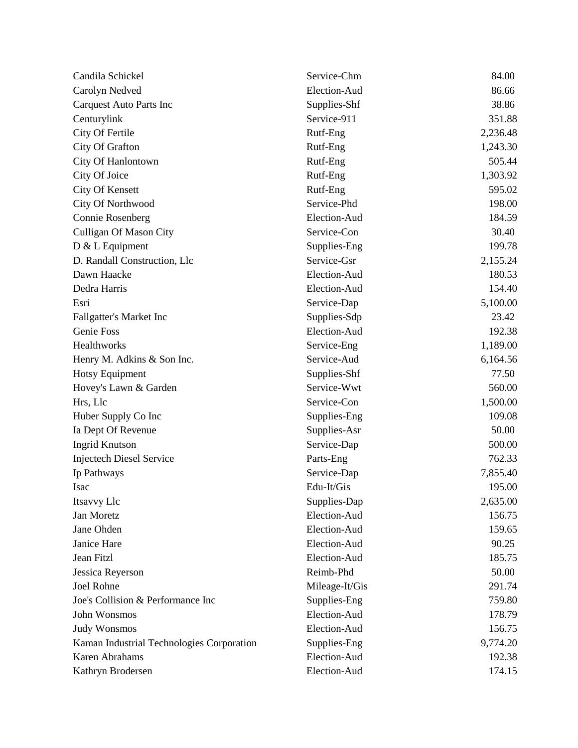| Candila Schickel                          | Service-Chm    | 84.00    |
|-------------------------------------------|----------------|----------|
| Carolyn Nedved                            | Election-Aud   | 86.66    |
| <b>Carquest Auto Parts Inc</b>            | Supplies-Shf   | 38.86    |
| Centurylink                               | Service-911    | 351.88   |
| City Of Fertile                           | Rutf-Eng       | 2,236.48 |
| City Of Grafton                           | Rutf-Eng       | 1,243.30 |
| City Of Hanlontown                        | Rutf-Eng       | 505.44   |
| City Of Joice                             | Rutf-Eng       | 1,303.92 |
| <b>City Of Kensett</b>                    | Rutf-Eng       | 595.02   |
| City Of Northwood                         | Service-Phd    | 198.00   |
| <b>Connie Rosenberg</b>                   | Election-Aud   | 184.59   |
| <b>Culligan Of Mason City</b>             | Service-Con    | 30.40    |
| $D & L$ Equipment                         | Supplies-Eng   | 199.78   |
| D. Randall Construction, Llc              | Service-Gsr    | 2,155.24 |
| Dawn Haacke                               | Election-Aud   | 180.53   |
| Dedra Harris                              | Election-Aud   | 154.40   |
| Esri                                      | Service-Dap    | 5,100.00 |
| Fallgatter's Market Inc                   | Supplies-Sdp   | 23.42    |
| Genie Foss                                | Election-Aud   | 192.38   |
| Healthworks                               | Service-Eng    | 1,189.00 |
| Henry M. Adkins & Son Inc.                | Service-Aud    | 6,164.56 |
| Hotsy Equipment                           | Supplies-Shf   | 77.50    |
| Hovey's Lawn & Garden                     | Service-Wwt    | 560.00   |
| Hrs, Llc                                  | Service-Con    | 1,500.00 |
| Huber Supply Co Inc                       | Supplies-Eng   | 109.08   |
| Ia Dept Of Revenue                        | Supplies-Asr   | 50.00    |
| <b>Ingrid Knutson</b>                     | Service-Dap    | 500.00   |
| <b>Injectech Diesel Service</b>           | Parts-Eng      | 762.33   |
| Ip Pathways                               | Service-Dap    | 7,855.40 |
| <b>Isac</b>                               | Edu-It/Gis     | 195.00   |
| Itsavvy Llc                               | Supplies-Dap   | 2,635.00 |
| Jan Moretz                                | Election-Aud   | 156.75   |
| Jane Ohden                                | Election-Aud   | 159.65   |
| Janice Hare                               | Election-Aud   | 90.25    |
| Jean Fitzl                                | Election-Aud   | 185.75   |
| Jessica Reyerson                          | Reimb-Phd      | 50.00    |
| <b>Joel Rohne</b>                         | Mileage-It/Gis | 291.74   |
| Joe's Collision & Performance Inc         | Supplies-Eng   | 759.80   |
| John Wonsmos                              | Election-Aud   | 178.79   |
| <b>Judy Wonsmos</b>                       | Election-Aud   | 156.75   |
| Kaman Industrial Technologies Corporation | Supplies-Eng   | 9,774.20 |
| <b>Karen Abrahams</b>                     | Election-Aud   | 192.38   |
| Kathryn Brodersen                         | Election-Aud   | 174.15   |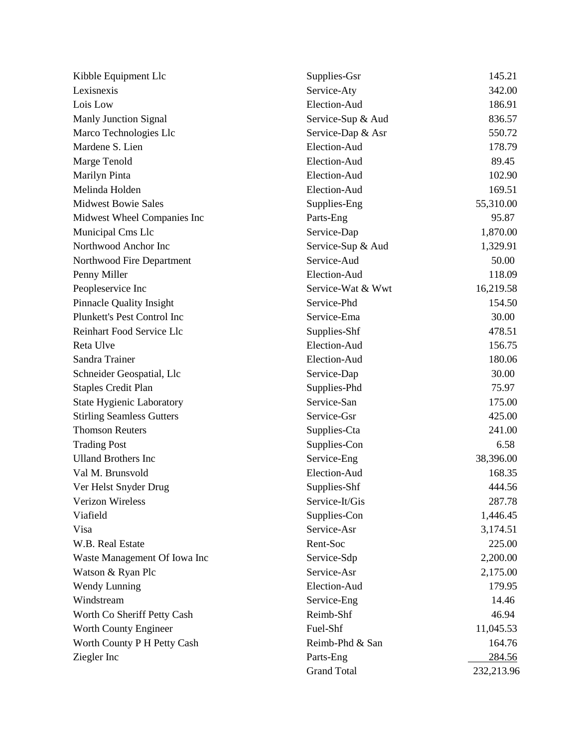| Kibble Equipment Llc             | Supplies-Gsr       | 145.21        |
|----------------------------------|--------------------|---------------|
| Lexisnexis                       | Service-Aty        | 342.00        |
| Lois Low                         | Election-Aud       | 186.91        |
| Manly Junction Signal            | Service-Sup & Aud  | 836.57        |
| Marco Technologies Llc           | Service-Dap & Asr  | 550.72        |
| Mardene S. Lien                  | Election-Aud       | 178.79        |
| Marge Tenold                     | Election-Aud       | 89.45         |
| Marilyn Pinta                    | Election-Aud       | 102.90        |
| Melinda Holden                   | Election-Aud       | 169.51        |
| <b>Midwest Bowie Sales</b>       | Supplies-Eng       | 55,310.00     |
| Midwest Wheel Companies Inc      | Parts-Eng          | 95.87         |
| Municipal Cms Llc                | Service-Dap        | 1,870.00      |
| Northwood Anchor Inc             | Service-Sup & Aud  | 1,329.91      |
| Northwood Fire Department        | Service-Aud        | 50.00         |
| Penny Miller                     | Election-Aud       | 118.09        |
| Peopleservice Inc                | Service-Wat & Wwt  | 16,219.58     |
| <b>Pinnacle Quality Insight</b>  | Service-Phd        | 154.50        |
| Plunkett's Pest Control Inc      | Service-Ema        | 30.00         |
| Reinhart Food Service Llc        | Supplies-Shf       | 478.51        |
| Reta Ulve                        | Election-Aud       | 156.75        |
| Sandra Trainer                   | Election-Aud       | 180.06        |
| Schneider Geospatial, Llc        | Service-Dap        | 30.00         |
| <b>Staples Credit Plan</b>       | Supplies-Phd       | 75.97         |
| <b>State Hygienic Laboratory</b> | Service-San        | 175.00        |
| <b>Stirling Seamless Gutters</b> | Service-Gsr        | 425.00        |
| <b>Thomson Reuters</b>           | Supplies-Cta       | 241.00        |
| <b>Trading Post</b>              | Supplies-Con       | 6.58          |
| <b>Ulland Brothers Inc</b>       | Service-Eng        | 38,396.00     |
| Val M. Brunsvold                 | Election-Aud       | 168.35        |
| Ver Helst Snyder Drug            | Supplies-Shf       | 444.56        |
| Verizon Wireless                 | Service-It/Gis     | 287.78        |
| Viafield                         | Supplies-Con       | 1,446.45      |
| Visa                             | Service-Asr        | 3,174.51      |
| W.B. Real Estate                 | Rent-Soc           | 225.00        |
| Waste Management Of Iowa Inc     | Service-Sdp        | 2,200.00      |
| Watson & Ryan Plc                | Service-Asr        | 2,175.00      |
| <b>Wendy Lunning</b>             | Election-Aud       | 179.95        |
| Windstream                       | Service-Eng        | 14.46         |
| Worth Co Sheriff Petty Cash      | Reimb-Shf          | 46.94         |
| Worth County Engineer            | Fuel-Shf           | 11,045.53     |
| Worth County P H Petty Cash      | Reimb-Phd & San    | 164.76        |
| Ziegler Inc                      | Parts-Eng          | <u>284.56</u> |
|                                  | <b>Grand Total</b> | 232,213.96    |